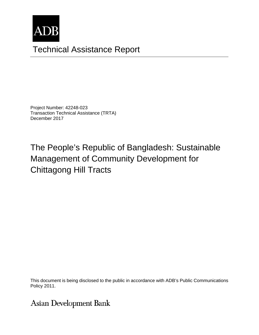

# Technical Assistance Report

Project Number: 42248-023 Transaction Technical Assistance (TRTA) December 2017

The People's Republic of Bangladesh: Sustainable Management of Community Development for Chittagong Hill Tracts

This document is being disclosed to the public in accordance with ADB's Public Communications members, Board of Directors, Management, or staff, and may be preliminary in nature. Policy 2011.

# **Asian Development Bank**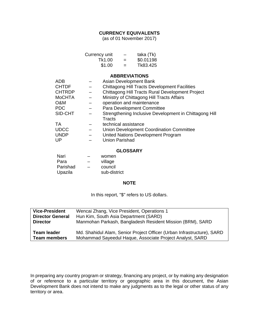## **CURRENCY EQUIVALENTS**

(as of 01 November 2017)

| Currency unit |     | taka (Tk) |
|---------------|-----|-----------|
| Tk1.00        | $=$ | \$0.01198 |
| \$1.00        | $=$ | Tk83.425  |

**ABBREVIATIONS**

| <b>ADB</b>    | Asian Development Bank                                 |
|---------------|--------------------------------------------------------|
| <b>CHTDF</b>  | <b>Chittagong Hill Tracts Development Facilities</b>   |
| <b>CHTRDP</b> | Chittagong Hill Tracts Rural Development Project       |
| <b>MoCHTA</b> | Ministry of Chittagong Hill Tracts Affairs             |
| O&M           | operation and maintenance                              |
| PDC           | Para Development Committee                             |
| SID-CHT       | Strengthening Inclusive Development in Chittagong Hill |
|               | <b>Tracts</b>                                          |
| ТA            | technical assistance                                   |
| <b>UDCC</b>   | Union Development Coordination Committee               |
| <b>UNDP</b>   | United Nations Development Program                     |
| UP            | <b>Union Parishad</b>                                  |
|               |                                                        |

#### **GLOSSARY**

| Nari     |                          | women        |
|----------|--------------------------|--------------|
| Para     |                          | village      |
| Parishad | $\overline{\phantom{0}}$ | council      |
| Upazila  |                          | sub-district |

#### **NOTE**

In this report, "\$" refers to US dollars.

| <b>Vice-President</b>   | Wencai Zhang, Vice President, Operations 1                             |
|-------------------------|------------------------------------------------------------------------|
| <b>Director General</b> | Hun Kim, South Asia Department (SARD)                                  |
| <b>Director</b>         | Manmohan Parkash, Bangladesh Resident Mission (BRM), SARD              |
| <b>Team leader</b>      | Md. Shahidul Alam, Senior Project Officer (Urban Infrastructure), SARD |
| <b>Team members</b>     | Mohammad Sayeedul Haque, Associate Project Analyst, SARD               |

In preparing any country program or strategy, financing any project, or by making any designation of or reference to a particular territory or geographic area in this document, the Asian Development Bank does not intend to make any judgments as to the legal or other status of any territory or area.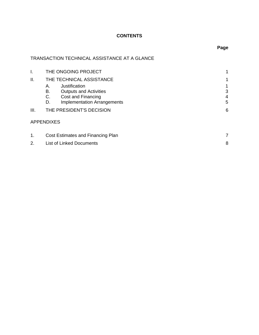# **CONTENTS**

# TRANSACTION TECHNICAL ASSISTANCE AT A GLANCE

| I.   | THE ONGOING PROJECT                      |   |
|------|------------------------------------------|---|
| ΙΙ.  | THE TECHNICAL ASSISTANCE                 |   |
|      | Justification<br>Α.                      |   |
|      | В.<br><b>Outputs and Activities</b>      | 3 |
|      | C.<br>Cost and Financing                 | 4 |
|      | <b>Implementation Arrangements</b><br>D. | 5 |
| III. | THE PRESIDENT'S DECISION                 | 6 |
|      | <b>APPENDIXES</b>                        |   |
| 1.   | Cost Estimates and Financing Plan        |   |

# 2. List of Linked Documents 8

# **Page**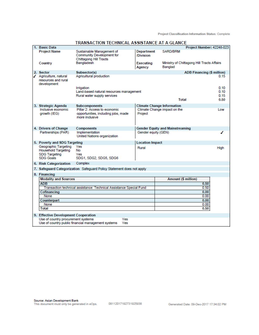| <b>Project Name</b><br>Sustainable Management of<br><b>Department</b><br>SARD/BRM<br><b>Community Development for</b><br>/Division<br><b>Chittagong Hill Tracts</b><br>Bangladesh<br>Ministry of Chittagong Hill Tracts Affairs<br>Country<br>Executing<br>Banglad<br>Agency |  |
|------------------------------------------------------------------------------------------------------------------------------------------------------------------------------------------------------------------------------------------------------------------------------|--|
|                                                                                                                                                                                                                                                                              |  |
|                                                                                                                                                                                                                                                                              |  |
| <b>ADB Financing (\$ million)</b><br>2. Sector<br>Subsector(s)                                                                                                                                                                                                               |  |
| ✔ Agriculture, natural<br>Agricultural production<br>0.15<br>resources and rural<br>development                                                                                                                                                                              |  |
| 0.10<br>Irrigation<br>0.10<br>Land-based natural resources management<br>Rural water supply services<br>0.15                                                                                                                                                                 |  |
| <b>Total</b><br>0.50                                                                                                                                                                                                                                                         |  |
| 3. Strategic Agenda<br><b>Climate Change Information</b><br><b>Subcomponents</b>                                                                                                                                                                                             |  |
| Inclusive economic<br>Pillar 2: Access to economic<br>Climate Change impact on the<br>I ow                                                                                                                                                                                   |  |
| opportunities, including jobs, made<br>Project<br>growth (IEG)<br>more inclusive                                                                                                                                                                                             |  |
| 4. Drivers of Change<br>Components<br><b>Gender Equity and Mainstreaming</b>                                                                                                                                                                                                 |  |
| Partnerships (PAR)<br>Implementation<br>Gender equity (GEN)<br>United Nations organization                                                                                                                                                                                   |  |
| 5. Poverty and SDG Targeting<br><b>Location Impact</b>                                                                                                                                                                                                                       |  |
| Geographic Targeting<br>Yes<br>Rural<br>High<br><b>Household Targeting</b><br>No<br><b>SDG Targeting</b><br>Yes<br><b>SDG Goals</b><br>SDG1, SDG2, SDG5, SDG6                                                                                                                |  |
| Complex<br>6. Risk Categorization                                                                                                                                                                                                                                            |  |
| 7. Safeguard Categorization Safeguard Policy Statement does not apply                                                                                                                                                                                                        |  |
| 8. Financing                                                                                                                                                                                                                                                                 |  |
| <b>Modality and Sources</b><br>Amount (\$ million)                                                                                                                                                                                                                           |  |
| <b>ADB</b><br>0.50                                                                                                                                                                                                                                                           |  |
| 0.50<br>Transaction technical assistance: Technical Assistance Special Fund                                                                                                                                                                                                  |  |
| 0.00<br>Cofinancing                                                                                                                                                                                                                                                          |  |
| 0.00<br>None                                                                                                                                                                                                                                                                 |  |
| 0.00<br>Counterpart                                                                                                                                                                                                                                                          |  |
| 0.00<br>None                                                                                                                                                                                                                                                                 |  |
| 0.50<br><b>Total</b>                                                                                                                                                                                                                                                         |  |
| 9. Effective Development Cooperation                                                                                                                                                                                                                                         |  |
| Use of country procurement systems<br>Yes                                                                                                                                                                                                                                    |  |
| Use of country public financial management systems<br>Yes                                                                                                                                                                                                                    |  |

#### TRANSACTION TECHNICAL ASSISTANCE AT A GLANCE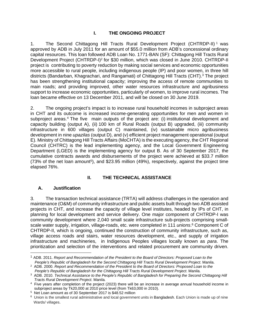## **I. THE ONGOING PROJECT**

1. The Second Chittagong Hill Tracts Rural Development Project (CHTRDP-II) 1 was approved by ADB in July 2011 for an amount of \$55.0 million from ADB's concessional ordinary capital resources. This loan followed ADB Loan No. 1771-BAN (SF): Chittagong Hill Tracts Rural Development Project (CHTRDP-I)<sup>2</sup> for \$30 million, which was closed in June 2010. CHTRDP-II project is contributing to poverty reduction by making social services and economic opportunities more accessible to rural people, including indigenous people (IP) and poor women, in three hill districts (Bandarban, Khagrachari, and Rangamati) of Chittagong Hill Tracts (CHT).<sup>3</sup> The project has been strengthening institutional capacity; improving the access of remote communities to main roads; and providing improved, other water resources infrastructure and agribusiness support to increase economic opportunities, particularly of women, to improve rural incomes. The loan became effective on 13 December 2011, and will be closed on 30 June 2019.

2. The ongoing project's impact is to increase rural household incomes in subproject areas in CHT and its outcome is increased income-generating opportunities for men and women in subproject areas.<sup>4</sup> The five main outputs of the project are: (i) institutional development and capacity building (output A), (ii) 100 km of Rural Roads (output B) upgraded, (iii) community infrastructure in 600 villages (output C) maintained, (iv) sustainable micro agribusiness development in nine *upazilas* (output D), and (v) efficient project management operational (output E). Ministry of Chittagong Hill Tracts Affairs (MoCHTA) is the executing agency, the CHT Regional Council (CHTRC) is the lead implementing agency, and the Local Government Engineering Department (LGED) is the implementing agency for output B. As of 30 September 2017, the cumulative contracts awards and disbursements of the project were achieved at \$33.7 million  $(73\%$  of the net loan amount<sup>5</sup>), and \$23.95 million  $(49\%)$ , respectively, against the project time elapsed 76%.

## **II. THE TECHNICAL ASSISTANCE**

#### **A. Justification**

 $\overline{a}$ 

3. The transaction technical assistance (TRTA) will address challenges in the operation and maintenance (O&M) of community infrastructure and public assets built through two ADB assisted projects in CHT, and increase the capacity of village level institutes, headed by IPs of CHT, in planning for local development and service delivery. One major component of CHTRDP-I was community development where 2,040 small scale infrastructure sub-projects comprising smallscale water supply, irrigation, village-roads, etc. were completed in 111 *unions*. 6 Component C of CHTRDP-II, which is ongoing, continued the construction of community infrastructure, such as, village access roads and stairs, water resources development, etc., and supply of irrigation infrastructure and machineries, in Indigenous Peoples villages locally known as *para*. The prioritization and selection of the interventions and related procurement are community driven.

<sup>1</sup> ADB. 2011. *Report and Recommendation of the President to the Board of Directors: Proposed Loan to the People's Republic of Bangladesh for the Second Chittagong Hill Tracts Rural Development Project*. Manila.

<sup>2</sup> ADB. 2000. *Report and Recommendation of the President to the Board of Directors: Proposed Loan to the People's Republic of Bangladesh for the Chittagong Hill Tracts Rural Development Project*. Manila.

<sup>3</sup> ADB. 2010. *Technical Assistance to the People's Republic of Bangladesh for Preparing the Second Chittagong Hill Tracts Rural Development Project.* Manila*.*

<sup>4</sup> Five years after completion of the project (2023) there will be an increase in average annual household income in subproject areas by Tk20,000 at 2010 price level (from Tk63,000 in 2010). 5 Net Loan amount as of 30 September 2017 is \$48.52 million

<sup>&</sup>lt;sup>6</sup> Union is the smallest rural administrative and local government units in Bangladesh. Each Union is made up of nine Wards/ villages.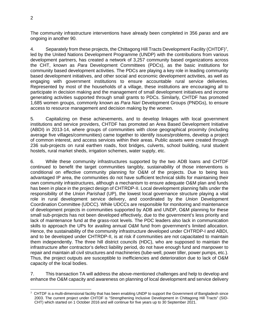The community infrastructure interventions have already been completed in 356 *paras* and are ongoing in another 90.

4. Separately from these projects, the Chittagong Hill Tracts Development Facility (CHTDF)7, led by the United Nations Development Programme (UNDP) with the contributions from various development partners, has created a network of 3,257 community based organizations across the CHT, known as *Para* Development Committees (PDCs), as the basic institutions for community based development activities. The PDCs are playing a key role in leading community based development initiatives, and other social and economic development activities, as well as engaging with government institutions to ensure accountable rural service deliveries. Represented by most of the households of a village, these institutions are encouraging all to participate in decision making and the management of small development initiatives and income generating activities supported through small grants to PDCs. Similarly, CHTDF has promoted 1,685 women groups, commonly known as *Para Nari* Development Groups (PNDGs), to ensure access to resource management and decision making by the women.

5. Capitalizing on these achievements, and to develop linkages with local government institutions and service providers, CHTDF has promoted an Area Based Development Initiative (ABDI) in 2013-14, where groups of communities with close geographical proximity (including average five villages/communities) came together to identify issues/problems, develop a project of common interest, and access services within their areas. Public assets were created through 236 sub-projects on rural earthen roads, foot bridges, culverts, school building, rural student hostels, rural market sheds, irrigation schemes, water supply, etc.

6. While these community infrastructures supported by the two ADB loans and CHTDF continued to benefit the target communities tangibly, sustainability of those interventions is conditional on effective community planning for O&M of the projects. Due to being less advantaged IP area, the communities do not have sufficient technical skills for maintaining their own community infrastructures, although a mechanism to ensure adequate O&M plan and funds has been in place in the project design of CHTRDP-II. Local development planning falls under the responsibility of the *Union Parishad* (UP), the lowest local governance structure playing a vital role in rural development service delivery, and coordinated by the *Union* Development Coordination Committee (UDCC). While UDCCs are responsible for monitoring and maintenance of development projects in communities supported by ADB and UNDP, O&M planning for these small sub-projects has not been developed effectively, due to the government's less priority and lack of maintenance fund at the grass-root levels. The PDC leaders also lack in communication skills to approach the UPs for availing annual O&M fund from government's limited allocation. Hence, the sustainability of the community infrastructure developed under CHTRDP-I and ABDI, and to be developed under CHTRDP-II, is at risk if communities are not capacitated to maintain them independently. The three hill district councils (HDC), who are supposed to maintain the infrastructure after contractor's defect liability period, do not have enough fund and manpower to repair and maintain all civil structures and machineries (tube-well, power tiller, power pumps, etc.). Thus, the project outputs are susceptible to inefficiencies and deterioration due to lack of O&M capacity of the local bodies.

7. This transaction TA will address the above-mentioned challenges and help to develop and enhance the O&M capacity and awareness on planning of local development and service delivery

  $7$  CHTDF is a multi-dimensional facility that has been enabling UNDP to support the Government of Bangladesh since 2003. The current project under CHTDF is "Strengthening Inclusive Development in Chittagong Hill Tracts" (SID-CHT) which started on 1 October 2016 and will continue for five years up to 30 September 2021.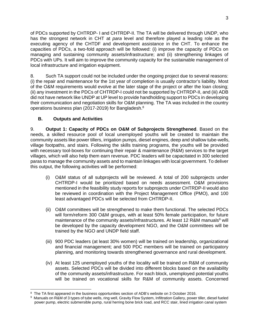of PDCs supported by CHTRDP- I and CHTRDP-II. The TA will be delivered through UNDP, who has the strongest network in CHT at *para* level and therefore played a leading role as the executing agency of the CHTDF and development assistance in the CHT. To enhance the capacities of PDCs, a two-fold approach will be followed: (i) improve the capacity of PDCs on managing and sustaining community assets/infrastructure; and (ii) strengthening linkages of PDCs with UPs. It will aim to improve the community capacity for the sustainable management of local infrastructure and irrigation equipment.

8. Such TA support could not be included under the ongoing project due to several reasons: (i) the repair and maintenance for the 1st year of completion is usually contractor's liability. Most of the O&M requirements would evolve at the later stage of the project or after the loan closing; (ii) any investment in the PDCs of CHTRDP-I could not be supported by CHTRDP-II, and (iii) ADB did not have network like UNDP at UP level to provide handholding support to PDCs in developing their communication and negotiation skills for O&M planning. The TA was included in the country operations business plan (2017-2019) for Bangladesh.8

## **B. Outputs and Activities**

9. **Output 1: Capacity of PDCs on O&M of Subprojects Strengthened**. Based on the needs, a skilled resource pool of local unemployed youths will be created to maintain the community assets like power tillers, irrigation pumps, diesel engines, deep and shallow tube-wells, village footpaths, and stairs. Following the skills training programs, the youths will be provided with necessary tool-boxes for continuing their repair & maintenance (R&M) services to the target villages, which will also help them earn revenue. PDC leaders will be capacitated in 300 selected paras to manage the community assets and to maintain linkages with local government. To deliver this output, the following activities will be performed:

- (i) O&M status of all subprojects will be reviewed. A total of 200 subprojects under CHTRDP-I would be prioritized based on needs assessment. O&M provisions mentioned in the feasibility study reports for subprojects under CHTRDP-II would also be reviewed in coordination with the Project Management Office (PMO), and 100 least advantaged PDCs will be selected from CHTRDP-II.
- (ii) O&M committees will be strengthened to make them functional. The selected PDCs will form/reform 300 O&M groups, with at least 50% female participation, for future maintenance of the community assets/infrastructures. At least 12 R&M manuals<sup>9</sup> will be developed by the capacity development NGO, and the O&M committees will be trained by the NGO and UNDP field staff.
- (iii) 900 PDC leaders (at least 30% women) will be trained on leadership, organizational and financial management; and 500 PDC members will be trained on participatory planning, and monitoring towards strengthened governance and rural development.
- (iv) At least 125 unemployed youths of the locality will be trained on R&M of community assets. Selected PDCs will be divided into different blocks based on the availability of the community assets/infrastructure. For each block, unemployed potential youths will be trained on vocational skills for R&M of community assets. Concerned

<sup>&</sup>lt;sup>8</sup> The TA first appeared in the business opportunities section of ADB's website on 3 October 2016.<br><sup>9</sup> Manuals on R&M of 3 types of tube wells, ring well, Gravity Flow System, Infiltration Gallery, power tiller, diesel fu power pump, electric submersible pump, rural herring bone brick road, and RCC stair, lined irrigation canal system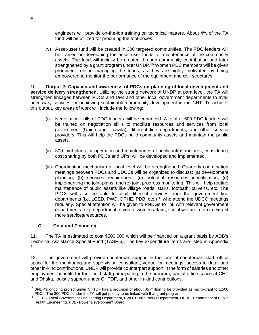engineers will provide on-the-job training on technical matters. About 4% of the TA fund will be utilized for procuring the tool-boxes.

(v) Asset-user fund will be created in 300 targeted communities. The PDC leaders will be trained on developing the asset-user funds for maintenance of the community assets. The fund will initially be created through community contribution and later strengthened by a grant program under UNDP.<sup>10</sup> Women PDC members will be given prominent role in managing the funds, as they are highly motivated by being empowered to monitor the performance of the equipment and civil structures.

10. **Output 2: Capacity and awareness of PDCs on planning of local development and service delivery strengthened.** Utilizing the strong network of UNDP at para level, the TA will strengthen linkages between PDC*s* and *UPs* and other local government departments to avail necessary services for achieving sustainable community development in the CHT. To achieve this output, key areas of work will include the following:

- (i) Negotiation skills of PDC leaders will be enhanced. A total of 600 PDC leaders will be trained on negotiation skills to mobilize resources and services from local government (Union and Upazila), different line departments, and other service providers. This will help the PDCs build community assets and maintain the public assets.
- (ii) 300 joint-plans for operation and maintenance of public infrastructures, considering cost sharing by both PDC*s* and UPs, will be developed and implemented.
- (iii) Coordination mechanism at local level will be strengthened. Quarterly coordination meetings between PDCs and UDCCs will be organized to discuss: (a) development planning, (b) services requirement, (c) potential resources identification, (d) implementing the joint-plans, and (e) joint progress monitoring. This will help routine maintenance of public assets like village roads, stairs, footpath, culverts, etc. The PDCs will also be able to avail different services from the government line departments (i.e. LGED, PWD, DPHE, PDB, etc.)<sup>11</sup>, who attend the UDCC meetings regularly. Special attention will be given to PNDGs to link with relevant government departments (e.g. department of youth, women affairs, social welfare, etc.) to extract more services/resources.

### **C. Cost and Financing**

11. The TA is estimated to cost \$500,000 which will be financed on a grant basis by ADB's Technical Assistance Special Fund (TASF-6). The key expenditure items are listed in Appendix 1.

12. The government will provide counterpart support in the form of counterpart staff, office space for the monitoring and supervision consultant, venue for meetings, access to data, and other in-kind contributions. UNDP will provide counterpart support in the form of salaries and other employment benefits for their field staff participating in the program, partial office space at CHT and Dhaka, logistic support under CHTDF, and other in-kind contributions.

 $\overline{a}$ 10 UNDP's ongoing project under CHTDF has a provision of about \$5 million to be provided as micro-grant to 1,500 PDCs. The 300 PDCs under the TA will get priority to be linked with that grant program.<br><sup>11</sup> LGED – Local Government Engineering Department, PWD- Public Works Department, DPHE- Department of Public

Health Engineering, PDB- Power Development Board.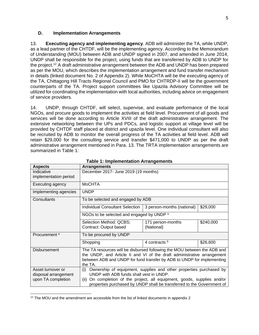#### **D. Implementation Arrangements**

13. **Executing agency and implementing agency**. ADB will administer the TA, while UNDP, as a lead partner of the CHTDF, will be the implementing agency. According to the Memorandum of Understanding (MOU) between ADB and UNDP signed in 2007, and amended in June 2014, UNDP shall be responsible for the project, using funds that are transferred by ADB to UNDP for the project.12 A draft administrative arrangement between the ADB and UNDP has been prepared as per the MOU, which describes the implementation arrangement and fund transfer mechanism in details (linked document No. 2 of Appendix 2). While MoCHTA will be the executing agency of the TA, Chittagong Hill Tracts Regional Council and PMO for CHTRDP-II will be the government counterparts of the TA. Project support committees like Upazila Advisory Committee will be utilized for coordinating the implementation with local authorities, including advice on engagement of service providers.

14. UNDP, through CHTDF, will select, supervise, and evaluate performance of the local NGOs, and procure goods to implement the activities at field level. Procurement of all goods and services will be done according to Article XVIII of the draft administrative arrangement. The extensive networking between the UPs and PDCs*,* and logistic support at village level will be provided by CHTDF staff placed at district and upazila level. One individual consultant will also be recruited by ADB to monitor the overall progress of the TA activities at field level. ADB will retain \$29,000 for the consulting service and transfer \$471,000 to UNDP as per the draft administrative arrangement mentioned in Para. 13. The TRTA implementation arrangements are summarized in Table 1:

| <b>Aspects</b>                                                  | <b>Arrangements</b>                                                                                                                                                                                                                                                           |                                 |           |
|-----------------------------------------------------------------|-------------------------------------------------------------------------------------------------------------------------------------------------------------------------------------------------------------------------------------------------------------------------------|---------------------------------|-----------|
| Indicative<br>implementation period                             | December 2017- June 2019 (19 months)                                                                                                                                                                                                                                          |                                 |           |
| Executing agency                                                | <b>MoCHTA</b>                                                                                                                                                                                                                                                                 |                                 |           |
| Implementing agencies                                           | <b>UNDP</b>                                                                                                                                                                                                                                                                   |                                 |           |
| Consultants                                                     | To be selected and engaged by ADB                                                                                                                                                                                                                                             |                                 |           |
|                                                                 | Individual Consultant Selection                                                                                                                                                                                                                                               | 3 person-months (national)      | \$29,000  |
|                                                                 | NGOs to be selected and engaged by UNDP a                                                                                                                                                                                                                                     |                                 |           |
|                                                                 | Selection Method: QCBS;<br>Contract: Output based                                                                                                                                                                                                                             | 171 person-months<br>(National) | \$240,000 |
| Procurement <sup>a</sup>                                        | To be procured by UNDP                                                                                                                                                                                                                                                        |                                 |           |
|                                                                 | Shopping                                                                                                                                                                                                                                                                      | 4 contracts b                   | \$26,600  |
| Disbursement                                                    | The TA resources will be disbursed following the MOU between the ADB and<br>the UNDP, and Article II and VI of the draft administrative arrangement<br>between ADB and UNDP for fund transfer by ADB to UNDP for implementing<br>the TA.                                      |                                 |           |
| Asset turnover or<br>disposal arrangement<br>upon TA completion | Ownership of equipment, supplies and other properties purchased by<br>(i)<br>UNDP with ADB funds shall vest in UNDP.<br>On completion of the project, all equipment, goods, supplies and/or<br>(ii)<br>properties purchased by UNDP shall be transferred to the Government of |                                 |           |

| <b>Table 1: Implementation Arrangements</b> |
|---------------------------------------------|
|---------------------------------------------|

 $\overline{a}$ 

 $12$  The MOU and the amendment are accessible from the list of linked documents in appendix 2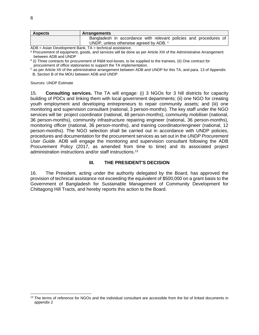| <b>Aspects</b> | <b>Arrangements</b>                                               |
|----------------|-------------------------------------------------------------------|
|                | Bangladesh in accordance with relevant policies and procedures of |
|                | UNDP, unless otherwise agreed by ADB. <sup>c</sup>                |
| $\sqrt{2}$     | Asian Davelanment Doub TA technical conjetence                    |

ADB = Asian Development Bank, TA = technical assistance.

a Procurement of equipment, goods, and services will be done as per Article XIII of the Administrative Arrangement between ADB and UNDP

b (i) Three contracts for procurement of R&M tool-boxes, to be supplied to the trainees, (il) One contract for procurement of office stationaries to support the TA implementation.

<sup>C</sup> as per Article XII of the administrative arrangement between ADB and UNDP for this TA, and para. 13 of Appendix B, Section B of the MOU between ADB and UNDP

Sources: UNDP Estimate

15. **Consulting services.** The TA will engage: (i) 3 NGOs for 3 hill districts for capacity building of PDCs and linking them with local government departments; (ii) one NGO for creating youth employment and developing entrepreneurs to repair community assets*;* and (iii) one monitoring and supervision consultant (national, 3 person-months). The key staff under the NGO services will be: project coordinator (national, 48 person-months), community mobiliser (national, 36 person-months), community infrastructure repairing engineer (national, 36 person-months), monitoring officer (national, 36 person-months), and training coordinator/engineer (national, 12 person-months). The NGO selection shall be carried out in accordance with UNDP policies, procedures and documentation for the procurement services as set out in the *UNDP Procurement User Guide*. ADB will engage the monitoring and supervision consultant following the ADB Procurement Policy (2017, as amended from time to time) and its associated project administration instructions and/or staff instructions.13

#### **III. THE PRESIDENT'S DECISION**

16. The President, acting under the authority delegated by the Board, has approved the provision of technical assistance not exceeding the equivalent of \$500,000 on a grant basis to the Government of Bangladesh for Sustainable Management of Community Development for Chittagong Hill Tracts, and hereby reports this action to the Board.

-

<sup>&</sup>lt;sup>13</sup> The terms of reference for NGOs and the individual consultant are accessible from the list of linked documents in appendix 2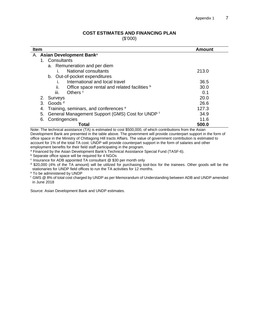### **COST ESTIMATES AND FINANCING PLAN**

(\$'000)

| <b>Item</b>                                            | Amount |
|--------------------------------------------------------|--------|
| A. Asian Development Bank <sup>a</sup>                 |        |
| 1. Consultants                                         |        |
| a. Remuneration and per diem                           |        |
| National consultants                                   | 213.0  |
| b. Out-of-pocket expenditures                          |        |
| International and local travel<br>I.                   | 36.5   |
| Office space rental and related facilities b<br>II.    | 30.0   |
| iii.<br>Others <sup>c</sup>                            | 0.1    |
| 2. Surveys                                             | 20.0   |
| Goods <sup>d</sup><br>3.                               | 26.6   |
| Training, seminars, and conferences <sup>e</sup><br>4. | 127.3  |
| General Management Support (GMS) Cost for UNDP f<br>5. | 34.9   |
| Contingencies<br>6.                                    | 11.6   |
| Total                                                  | 500.0  |

Note: The technical assistance (TA) is estimated to cost \$500,000, of which contributions from the Asian Development Bank are presented in the table above. The government will provide counterpart support in the form of office space in the Ministry of Chittagong Hill tracts Affairs. The value of government contribution is estimated to account for 1% of the total TA cost. UNDP will provide counterpart support in the form of salaries and other<br>employment benefits for their field staff participating in the program.

<sup>a</sup> Financed by the Asian Development Bank's Technical Assistance Special Fund (TASF-6). b Separate office space will be required for 4 NGOs

 $c$  Insurance for ADB appointed TA consultant  $@$  \$30 per month only

d \$20,000 (4% of the TA amount) will be utilized for purchasing tool-box for the trainees. Other goods will be the stationaries for UNDP field offices to run the TA activities for 12 months.

e To be administered by UNDP

f GMS @ 8% of total cost charged by UNDP as per Memorandum of Understanding between ADB and UNDP amended in June 2018

Source: Asian Development Bank and UNDP estimates.